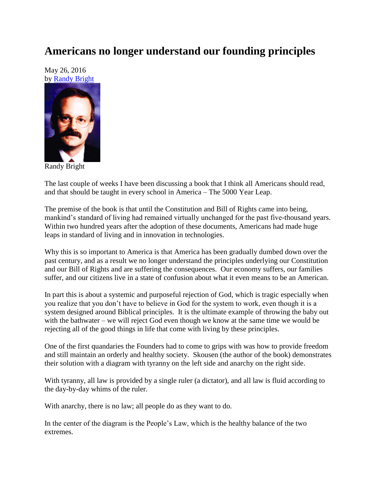## **Americans no longer understand our founding principles**

May 26, 2016 by [Randy Bright](http://tulsabeacon.com/writers/randy-bright/)



Randy Bright

The last couple of weeks I have been discussing a book that I think all Americans should read, and that should be taught in every school in America – The 5000 Year Leap.

The premise of the book is that until the Constitution and Bill of Rights came into being, mankind's standard of living had remained virtually unchanged for the past five-thousand years. Within two hundred years after the adoption of these documents, Americans had made huge leaps in standard of living and in innovation in technologies.

Why this is so important to America is that America has been gradually dumbed down over the past century, and as a result we no longer understand the principles underlying our Constitution and our Bill of Rights and are suffering the consequences. Our economy suffers, our families suffer, and our citizens live in a state of confusion about what it even means to be an American.

In part this is about a systemic and purposeful rejection of God, which is tragic especially when you realize that you don"t have to believe in God for the system to work, even though it is a system designed around Biblical principles. It is the ultimate example of throwing the baby out with the bathwater – we will reject God even though we know at the same time we would be rejecting all of the good things in life that come with living by these principles.

One of the first quandaries the Founders had to come to grips with was how to provide freedom and still maintain an orderly and healthy society. Skousen (the author of the book) demonstrates their solution with a diagram with tyranny on the left side and anarchy on the right side.

With tyranny, all law is provided by a single ruler (a dictator), and all law is fluid according to the day-by-day whims of the ruler.

With anarchy, there is no law; all people do as they want to do.

In the center of the diagram is the People"s Law, which is the healthy balance of the two extremes.